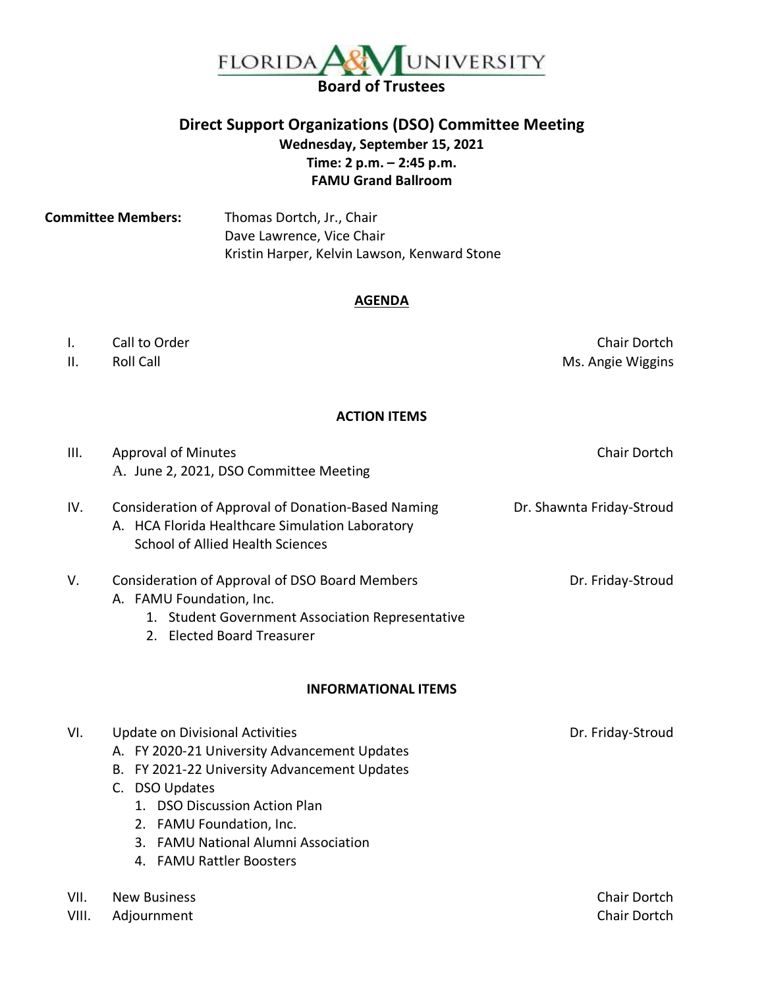

# **Direct Support Organizations (DSO) Committee Meeting Wednesday, September 15, 2021 Time: 2 p.m. – 2:45 p.m. FAMU Grand Ballroom**

**Committee Members:** Thomas Dortch, Jr., Chair Dave Lawrence, Vice Chair Kristin Harper, Kelvin Lawson, Kenward Stone

#### **AGENDA**

## I. Call to Order Chair Dortch Chair Dortch

II. Roll Call **Roll Call** Ms. Angie Wiggins

## **ACTION ITEMS**

| Ш.            | <b>Approval of Minutes</b><br>A. June 2, 2021, DSO Committee Meeting                                                                                                                                                                                                                     | Chair Dortch                 |
|---------------|------------------------------------------------------------------------------------------------------------------------------------------------------------------------------------------------------------------------------------------------------------------------------------------|------------------------------|
| IV.           | Consideration of Approval of Donation-Based Naming<br>A. HCA Florida Healthcare Simulation Laboratory<br><b>School of Allied Health Sciences</b>                                                                                                                                         | Dr. Shawnta Friday-Stroud    |
| V.            | Consideration of Approval of DSO Board Members<br>A. FAMU Foundation, Inc.<br>1. Student Government Association Representative<br>2. Elected Board Treasurer                                                                                                                             | Dr. Friday-Stroud            |
|               | <b>INFORMATIONAL ITEMS</b>                                                                                                                                                                                                                                                               |                              |
| VI.           | <b>Update on Divisional Activities</b><br>A. FY 2020-21 University Advancement Updates<br>B. FY 2021-22 University Advancement Updates<br>C. DSO Updates<br>1. DSO Discussion Action Plan<br>2. FAMU Foundation, Inc.<br>3. FAMU National Alumni Association<br>4. FAMU Rattler Boosters | Dr. Friday-Stroud            |
| VII.<br>VIII. | <b>New Business</b><br>Adjournment                                                                                                                                                                                                                                                       | Chair Dortch<br>Chair Dortch |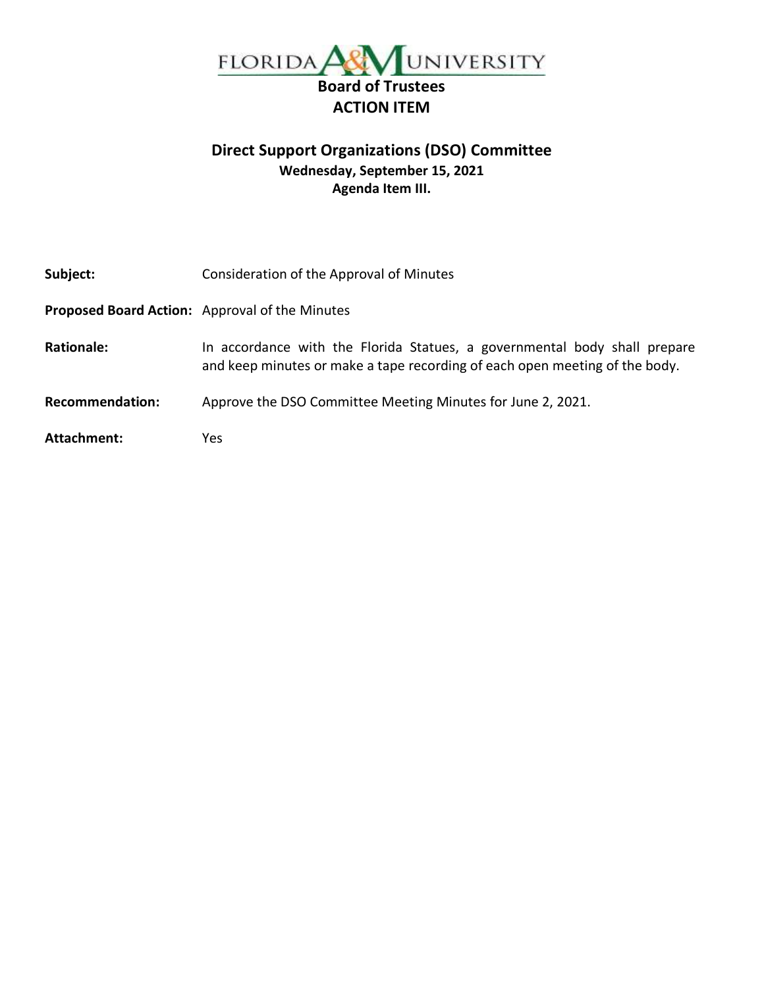

# **Direct Support Organizations (DSO) Committee Wednesday, September 15, 2021 Agenda Item III.**

| Subject:               | Consideration of the Approval of Minutes                                                                                                                 |
|------------------------|----------------------------------------------------------------------------------------------------------------------------------------------------------|
|                        | Proposed Board Action: Approval of the Minutes                                                                                                           |
| <b>Rationale:</b>      | In accordance with the Florida Statues, a governmental body shall prepare<br>and keep minutes or make a tape recording of each open meeting of the body. |
| <b>Recommendation:</b> | Approve the DSO Committee Meeting Minutes for June 2, 2021.                                                                                              |
| Attachment:            | Yes                                                                                                                                                      |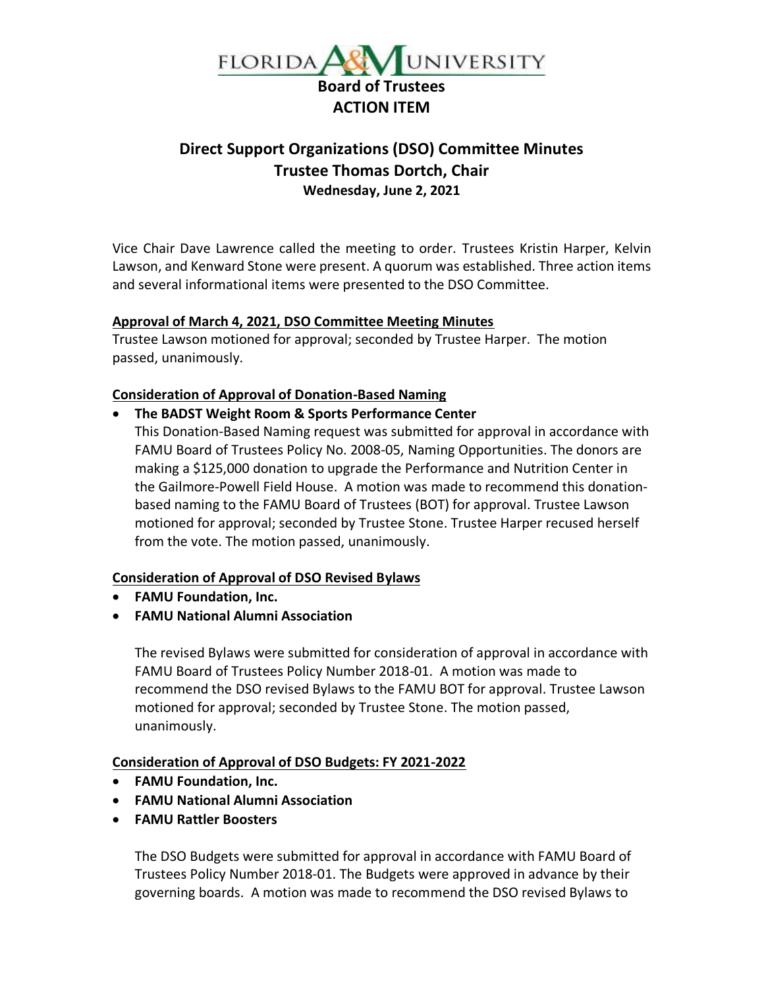

# **Direct Support Organizations (DSO) Committee Minutes Trustee Thomas Dortch, Chair Wednesday, June 2, 2021**

Vice Chair Dave Lawrence called the meeting to order. Trustees Kristin Harper, Kelvin Lawson, and Kenward Stone were present. A quorum was established. Three action items and several informational items were presented to the DSO Committee.

## **Approval of March 4, 2021, DSO Committee Meeting Minutes**

Trustee Lawson motioned for approval; seconded by Trustee Harper. The motion passed, unanimously.

## **Consideration of Approval of Donation-Based Naming**

## • **The BADST Weight Room & Sports Performance Center**

This Donation-Based Naming request was submitted for approval in accordance with FAMU Board of Trustees Policy No. 2008-05, Naming Opportunities. The donors are making a \$125,000 donation to upgrade the Performance and Nutrition Center in the Gailmore-Powell Field House. A motion was made to recommend this donationbased naming to the FAMU Board of Trustees (BOT) for approval. Trustee Lawson motioned for approval; seconded by Trustee Stone. Trustee Harper recused herself from the vote. The motion passed, unanimously.

#### **Consideration of Approval of DSO Revised Bylaws**

- **FAMU Foundation, Inc.**
- **FAMU National Alumni Association**

The revised Bylaws were submitted for consideration of approval in accordance with FAMU Board of Trustees Policy Number 2018-01. A motion was made to recommend the DSO revised Bylaws to the FAMU BOT for approval. Trustee Lawson motioned for approval; seconded by Trustee Stone. The motion passed, unanimously.

## **Consideration of Approval of DSO Budgets: FY 2021-2022**

- **FAMU Foundation, Inc.**
- **FAMU National Alumni Association**
- **FAMU Rattler Boosters**

The DSO Budgets were submitted for approval in accordance with FAMU Board of Trustees Policy Number 2018-01. The Budgets were approved in advance by their governing boards. A motion was made to recommend the DSO revised Bylaws to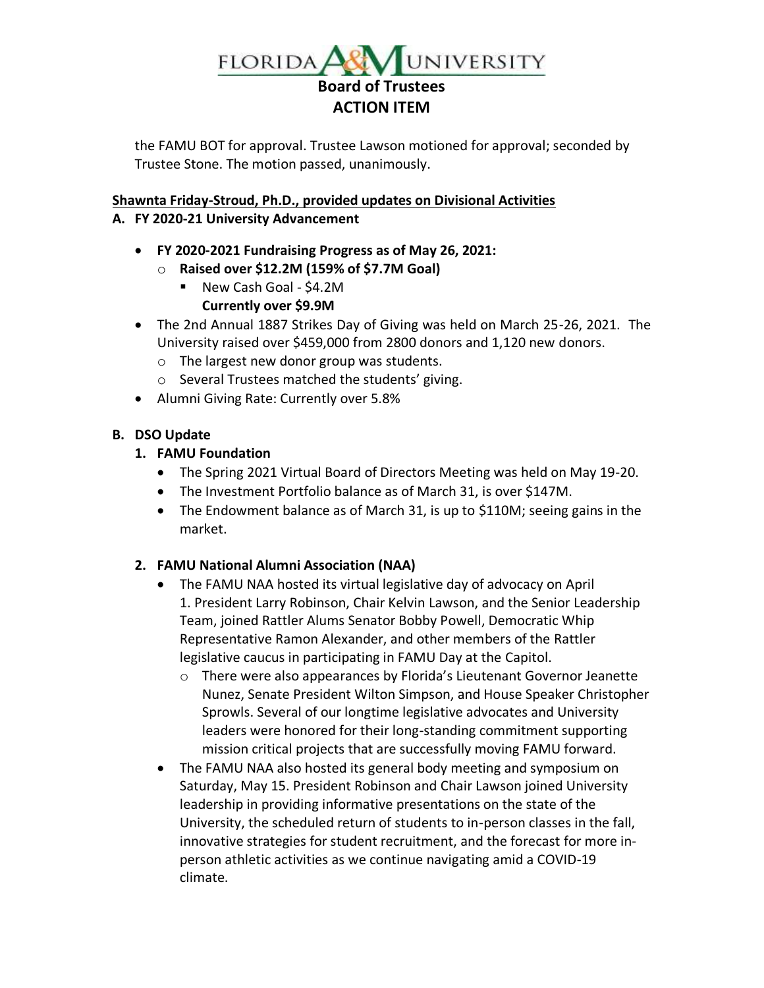

the FAMU BOT for approval. Trustee Lawson motioned for approval; seconded by Trustee Stone. The motion passed, unanimously.

## **Shawnta Friday-Stroud, Ph.D., provided updates on Divisional Activities**

## **A. FY 2020-21 University Advancement**

- **FY 2020-2021 Fundraising Progress as of May 26, 2021:**
	- o **Raised over \$12.2M (159% of \$7.7M Goal)** 
		- New Cash Goal \$4.2M

# **Currently over \$9.9M**

- The 2nd Annual 1887 Strikes Day of Giving was held on March 25-26, 2021. The University raised over \$459,000 from 2800 donors and 1,120 new donors.
	- o The largest new donor group was students.
	- o Several Trustees matched the students' giving.
- Alumni Giving Rate: Currently over 5.8%

# **B. DSO Update**

# **1. FAMU Foundation**

- The Spring 2021 Virtual Board of Directors Meeting was held on May 19-20.
- The Investment Portfolio balance as of March 31, is over \$147M.
- The Endowment balance as of March 31, is up to \$110M; seeing gains in the market.

# **2. FAMU National Alumni Association (NAA)**

- The FAMU NAA hosted its virtual legislative day of advocacy on April 1. President Larry Robinson, Chair Kelvin Lawson, and the Senior Leadership Team, joined Rattler Alums Senator Bobby Powell, Democratic Whip Representative Ramon Alexander, and other members of the Rattler legislative caucus in participating in FAMU Day at the Capitol.
	- o There were also appearances by Florida's Lieutenant Governor Jeanette Nunez, Senate President Wilton Simpson, and House Speaker Christopher Sprowls. Several of our longtime legislative advocates and University leaders were honored for their long-standing commitment supporting mission critical projects that are successfully moving FAMU forward.
- The FAMU NAA also hosted its general body meeting and symposium on Saturday, May 15. President Robinson and Chair Lawson joined University leadership in providing informative presentations on the state of the University, the scheduled return of students to in-person classes in the fall, innovative strategies for student recruitment, and the forecast for more inperson athletic activities as we continue navigating amid a COVID-19 climate.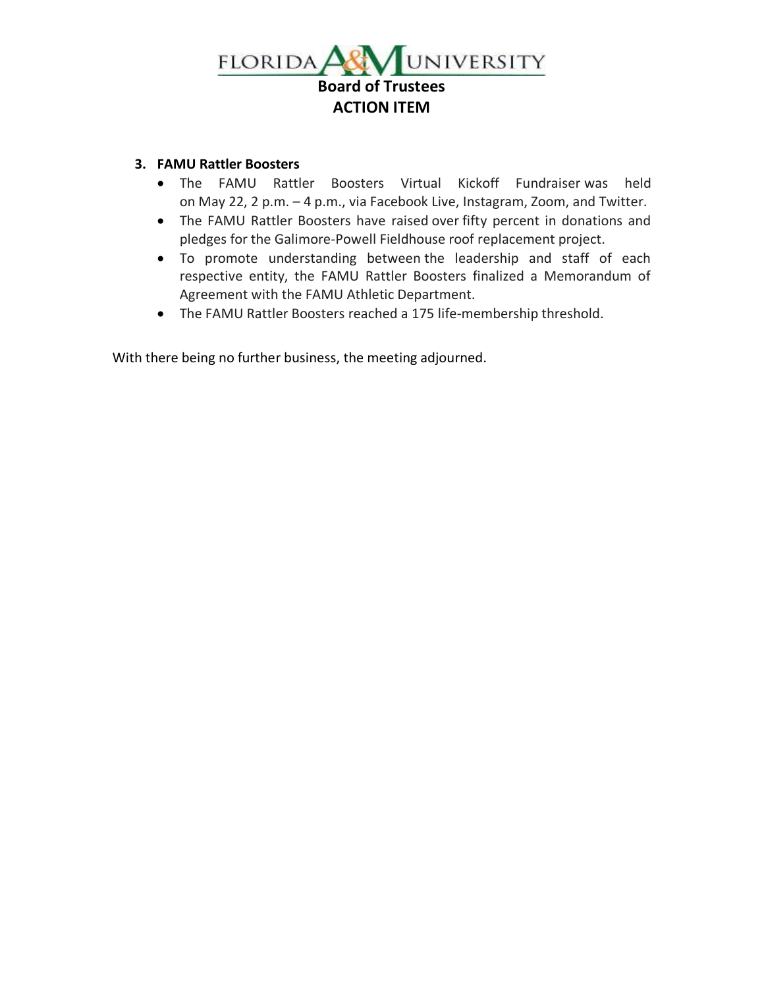

## **3. FAMU Rattler Boosters**

- The FAMU Rattler Boosters Virtual Kickoff Fundraiser was held on May 22, 2 p.m. – 4 p.m., via Facebook Live, Instagram, Zoom, and Twitter.
- The FAMU Rattler Boosters have raised over fifty percent in donations and pledges for the Galimore-Powell Fieldhouse roof replacement project.
- To promote understanding between the leadership and staff of each respective entity, the FAMU Rattler Boosters finalized a Memorandum of Agreement with the FAMU Athletic Department.
- The FAMU Rattler Boosters reached a 175 life-membership threshold.

With there being no further business, the meeting adjourned.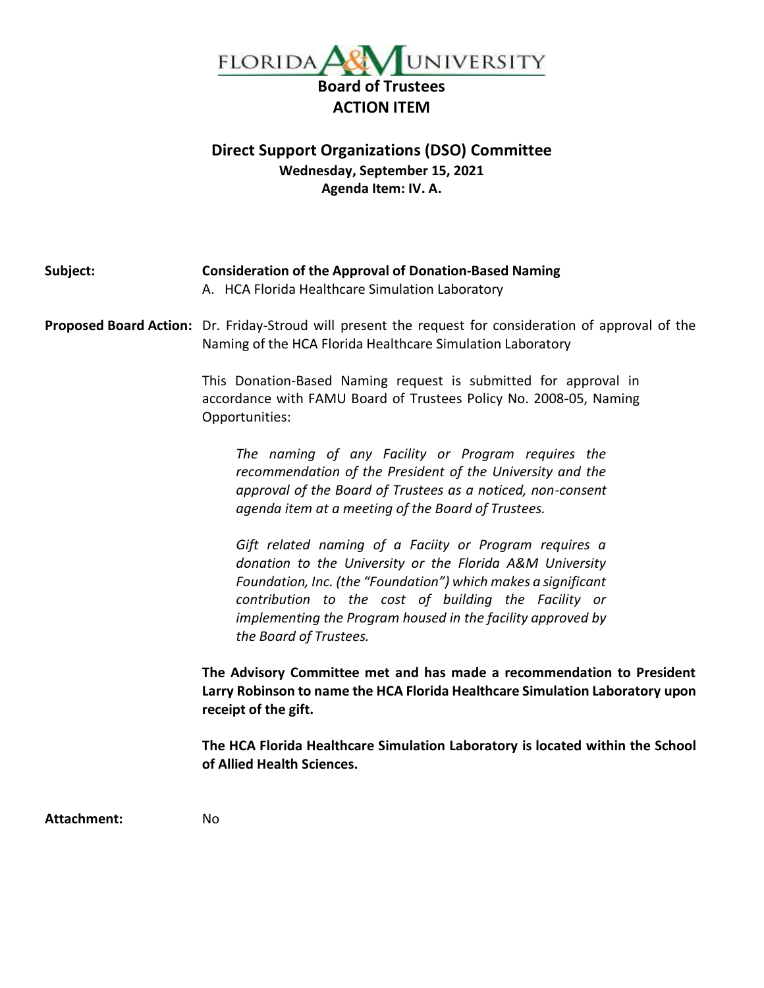

# **Direct Support Organizations (DSO) Committee Wednesday, September 15, 2021 Agenda Item: IV. A.**

| Subject:    | <b>Consideration of the Approval of Donation-Based Naming</b><br>A. HCA Florida Healthcare Simulation Laboratory                                                                                                                                                                                                                     |  |  |
|-------------|--------------------------------------------------------------------------------------------------------------------------------------------------------------------------------------------------------------------------------------------------------------------------------------------------------------------------------------|--|--|
|             | Proposed Board Action: Dr. Friday-Stroud will present the request for consideration of approval of the<br>Naming of the HCA Florida Healthcare Simulation Laboratory                                                                                                                                                                 |  |  |
|             | This Donation-Based Naming request is submitted for approval in<br>accordance with FAMU Board of Trustees Policy No. 2008-05, Naming<br>Opportunities:                                                                                                                                                                               |  |  |
|             | The naming of any Facility or Program requires the<br>recommendation of the President of the University and the<br>approval of the Board of Trustees as a noticed, non-consent<br>agenda item at a meeting of the Board of Trustees.                                                                                                 |  |  |
|             | Gift related naming of a Faciity or Program requires a<br>donation to the University or the Florida A&M University<br>Foundation, Inc. (the "Foundation") which makes a significant<br>contribution to the cost of building the Facility or<br>implementing the Program housed in the facility approved by<br>the Board of Trustees. |  |  |
|             | The Advisory Committee met and has made a recommendation to President<br>Larry Robinson to name the HCA Florida Healthcare Simulation Laboratory upon<br>receipt of the gift.                                                                                                                                                        |  |  |
|             | The HCA Florida Healthcare Simulation Laboratory is located within the School<br>of Allied Health Sciences.                                                                                                                                                                                                                          |  |  |
| Attachment: | No                                                                                                                                                                                                                                                                                                                                   |  |  |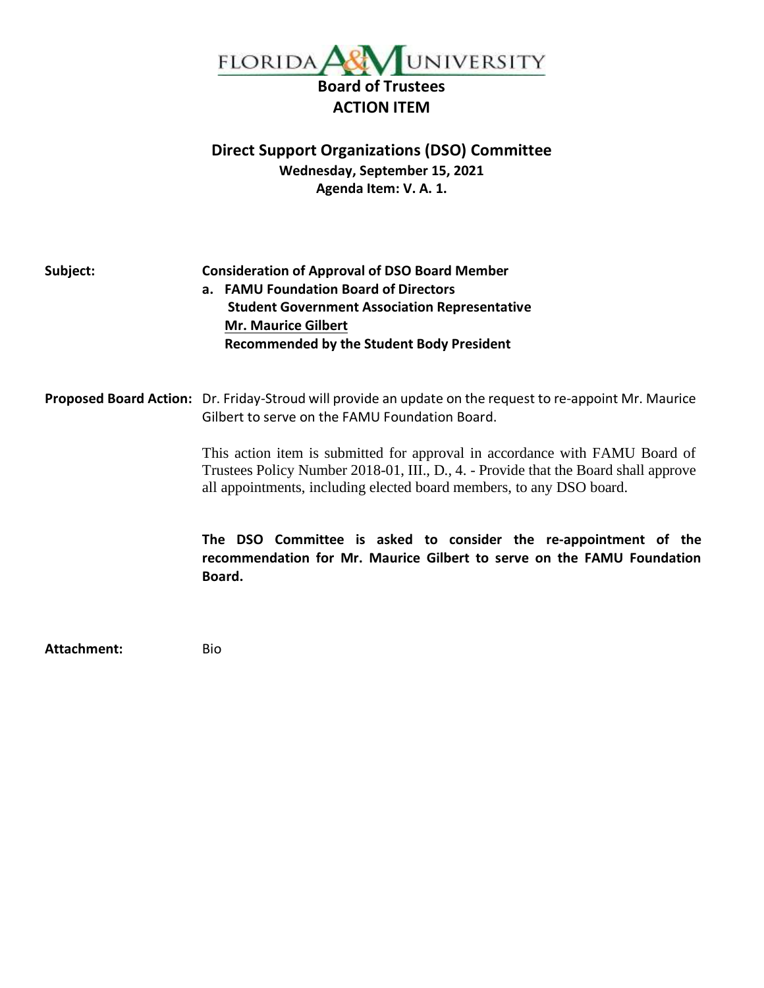

# **Direct Support Organizations (DSO) Committee Wednesday, September 15, 2021 Agenda Item: V. A. 1.**

**Subject: Consideration of Approval of DSO Board Member a. FAMU Foundation Board of Directors Student Government Association Representative Mr. Maurice Gilbert Recommended by the Student Body President**

**Proposed Board Action:** Dr. Friday-Stroud will provide an update on the request to re-appoint Mr. Maurice Gilbert to serve on the FAMU Foundation Board.

> This action item is submitted for approval in accordance with FAMU Board of Trustees Policy Number 2018-01, III., D., 4. - Provide that the Board shall approve all appointments, including elected board members, to any DSO board.

> **The DSO Committee is asked to consider the re-appointment of the recommendation for Mr. Maurice Gilbert to serve on the FAMU Foundation Board.**

**Attachment:** Bio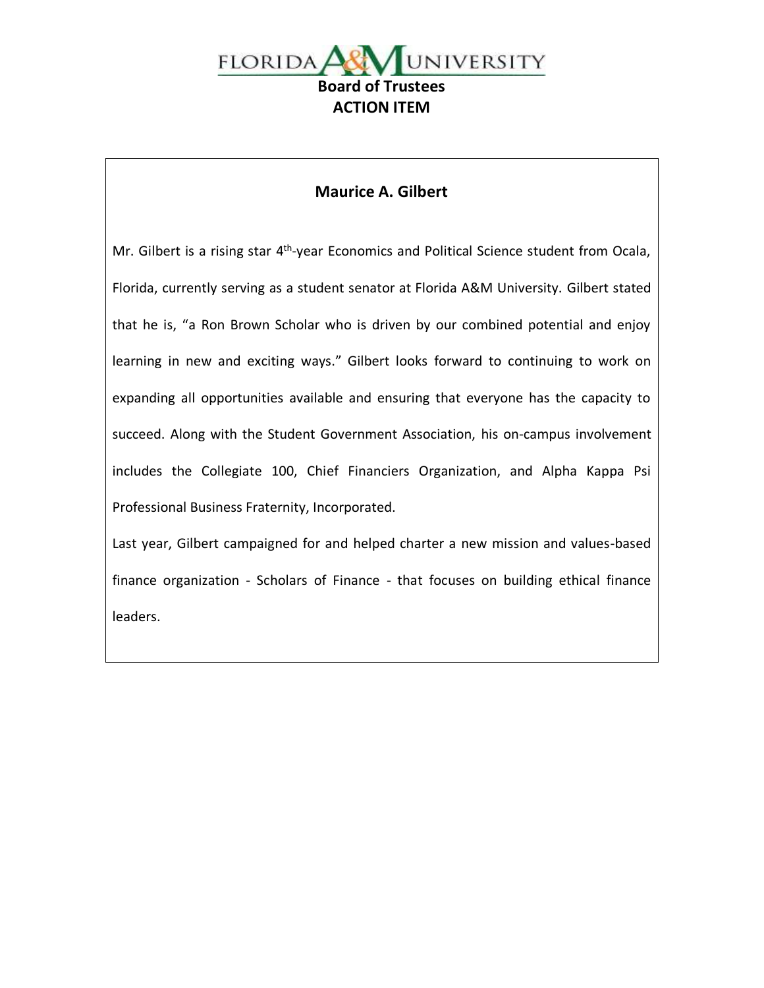

# **Maurice A. Gilbert**

Mr. Gilbert is a rising star 4<sup>th</sup>-year Economics and Political Science student from Ocala, Florida, currently serving as a student senator at Florida A&M University. Gilbert stated that he is, "a Ron Brown Scholar who is driven by our combined potential and enjoy learning in new and exciting ways." Gilbert looks forward to continuing to work on expanding all opportunities available and ensuring that everyone has the capacity to succeed. Along with the Student Government Association, his on-campus involvement includes the Collegiate 100, Chief Financiers Organization, and Alpha Kappa Psi Professional Business Fraternity, Incorporated.

Last year, Gilbert campaigned for and helped charter a new mission and values-based finance organization - Scholars of Finance - that focuses on building ethical finance leaders.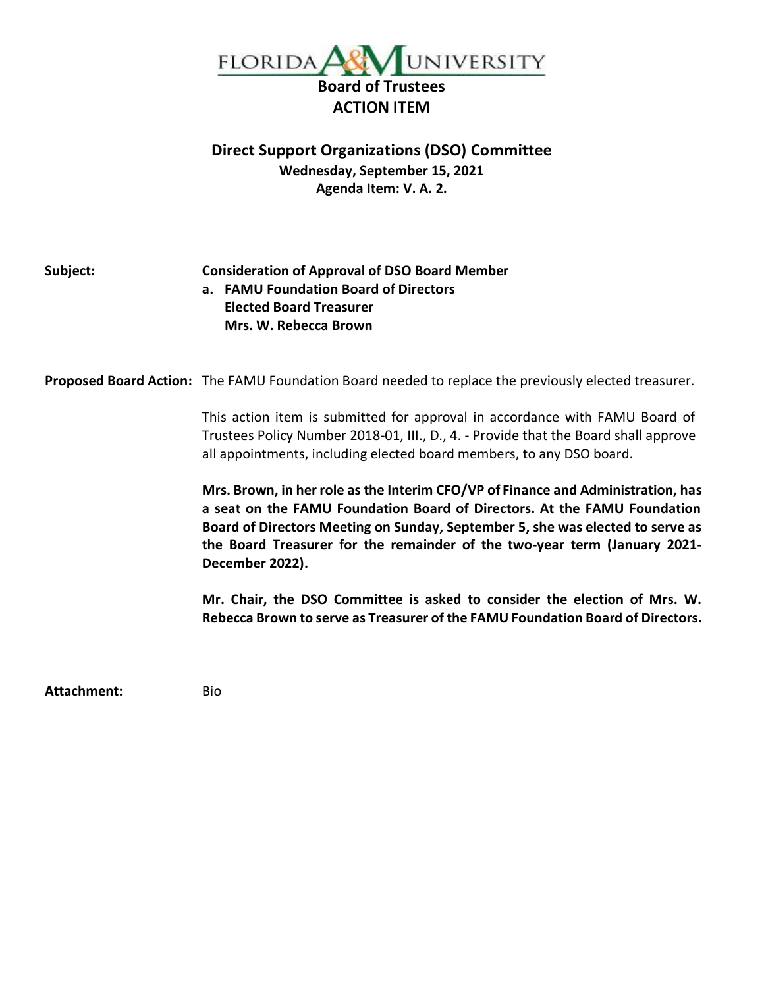

# **Direct Support Organizations (DSO) Committee Wednesday, September 15, 2021 Agenda Item: V. A. 2.**

## **Subject: Consideration of Approval of DSO Board Member a. FAMU Foundation Board of Directors Elected Board Treasurer Mrs. W. Rebecca Brown**

**Proposed Board Action:** The FAMU Foundation Board needed to replace the previously elected treasurer.

This action item is submitted for approval in accordance with FAMU Board of Trustees Policy Number 2018-01, III., D., 4. - Provide that the Board shall approve all appointments, including elected board members, to any DSO board.

**Mrs. Brown, in her role as the Interim CFO/VP of Finance and Administration, has a seat on the FAMU Foundation Board of Directors. At the FAMU Foundation Board of Directors Meeting on Sunday, September 5, she was elected to serve as the Board Treasurer for the remainder of the two-year term (January 2021- December 2022).**

**Mr. Chair, the DSO Committee is asked to consider the election of Mrs. W. Rebecca Brown to serve as Treasurer of the FAMU Foundation Board of Directors.**

**Attachment:** Bio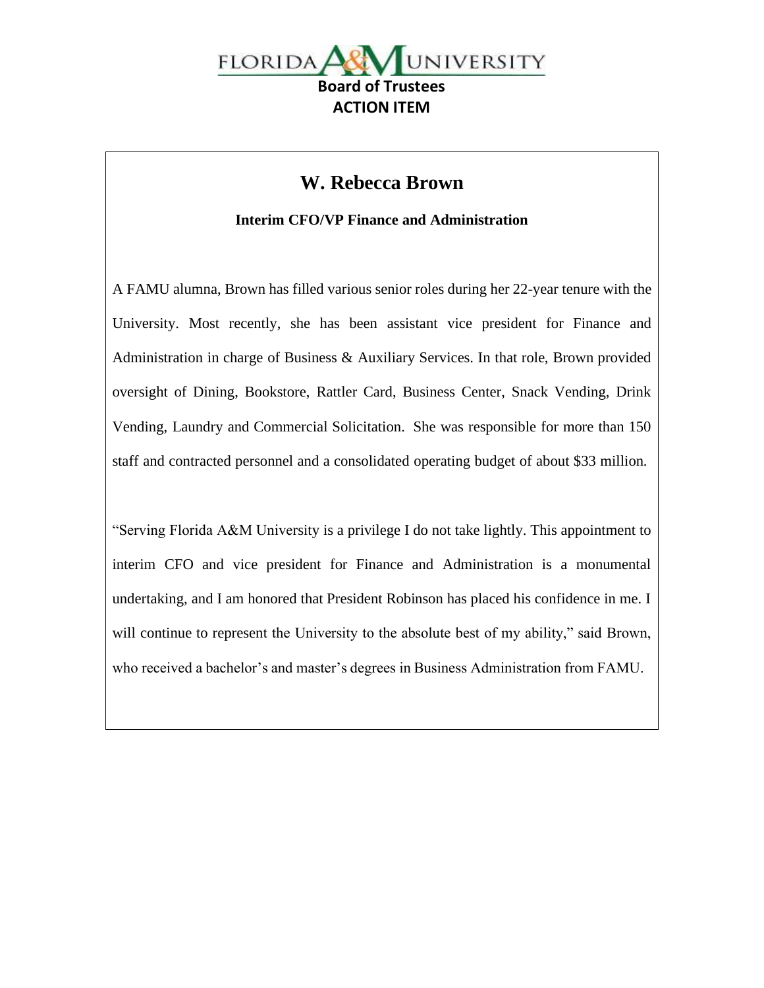

# **W. Rebecca Brown**

**Interim CFO/VP Finance and Administration**

A FAMU alumna, Brown has filled various senior roles during her 22-year tenure with the University. Most recently, she has been assistant vice president for Finance and Administration in charge of Business & Auxiliary Services. In that role, Brown provided oversight of Dining, Bookstore, Rattler Card, Business Center, Snack Vending, Drink Vending, Laundry and Commercial Solicitation. She was responsible for more than 150 staff and contracted personnel and a consolidated operating budget of about \$33 million.

"Serving Florida A&M University is a privilege I do not take lightly. This appointment to interim CFO and vice president for Finance and Administration is a monumental undertaking, and I am honored that President Robinson has placed his confidence in me. I will continue to represent the University to the absolute best of my ability," said Brown, who received a bachelor's and master's degrees in Business Administration from FAMU.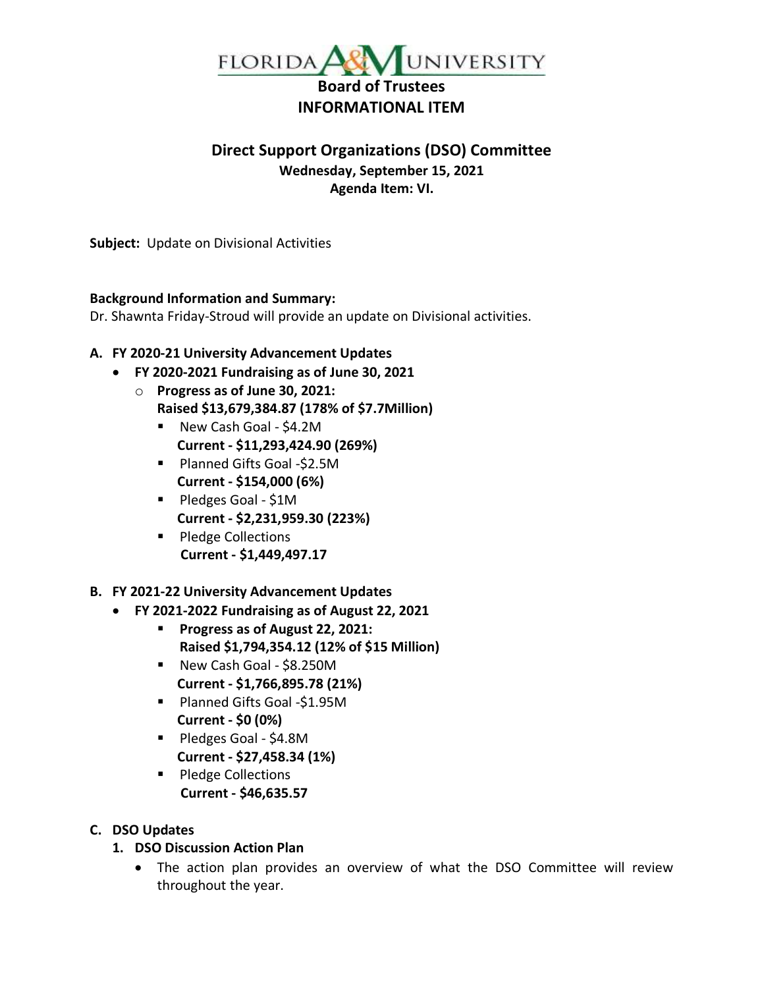

# **Direct Support Organizations (DSO) Committee Wednesday, September 15, 2021 Agenda Item: VI.**

**Subject:** Update on Divisional Activities

## **Background Information and Summary:**

Dr. Shawnta Friday-Stroud will provide an update on Divisional activities.

# **A. FY 2020-21 University Advancement Updates**

- **FY 2020-2021 Fundraising as of June 30, 2021**
	- o **Progress as of June 30, 2021: Raised \$13,679,384.87 (178% of \$7.7Million)** 
		- New Cash Goal \$4.2M  **Current - \$11,293,424.90 (269%)**
		- Planned Gifts Goal -\$2.5M  **Current - \$154,000 (6%)**
		- Pledges Goal \$1M  **Current - \$2,231,959.30 (223%)**
		- Pledge Collections **Current - \$1,449,497.17**
- **B. FY 2021-22 University Advancement Updates**
	- **FY 2021-2022 Fundraising as of August 22, 2021**
		- **Progress as of August 22, 2021: Raised \$1,794,354.12 (12% of \$15 Million)**
		- New Cash Goal \$8.250M  **Current - \$1,766,895.78 (21%)**
		- Planned Gifts Goal -\$1.95M  **Current - \$0 (0%)**
		- Pledges Goal \$4.8M  **Current - \$27,458.34 (1%)**
		- Pledge Collections **Current - \$46,635.57**

# **C. DSO Updates**

- **1. DSO Discussion Action Plan**
	- The action plan provides an overview of what the DSO Committee will review throughout the year.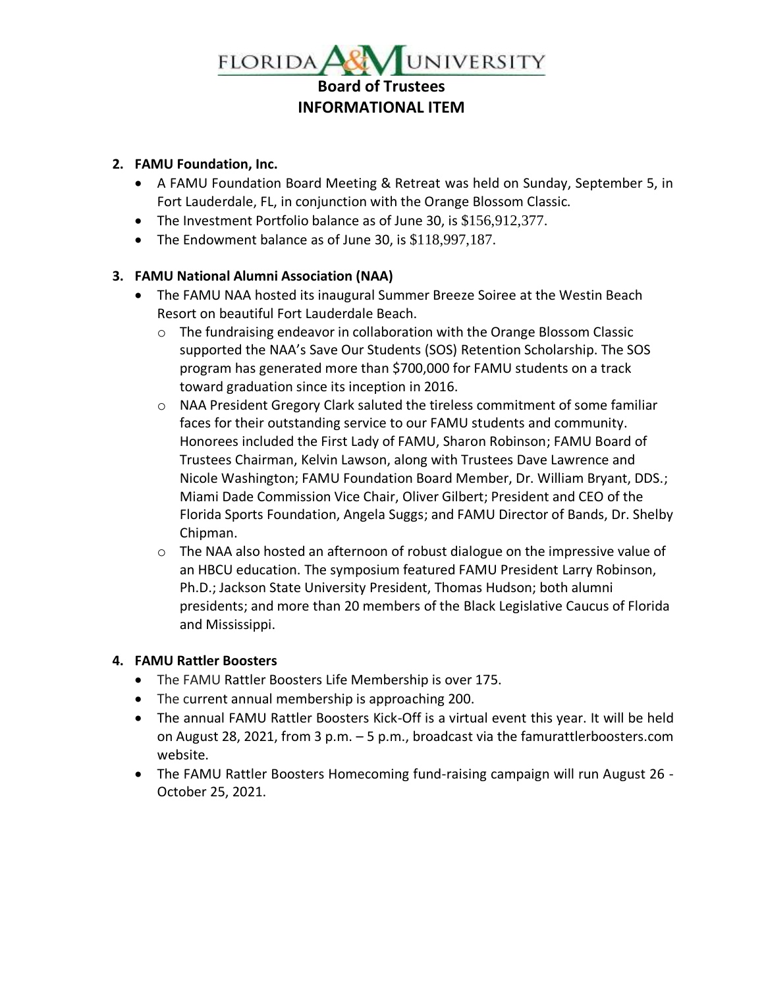

## **2. FAMU Foundation, Inc.**

- A FAMU Foundation Board Meeting & Retreat was held on Sunday, September 5, in Fort Lauderdale, FL, in conjunction with the Orange Blossom Classic.
- The Investment Portfolio balance as of June 30, is \$156,912,377.
- The Endowment balance as of June 30, is \$118,997,187.

# **3. FAMU National Alumni Association (NAA)**

- The FAMU NAA hosted its inaugural Summer Breeze Soiree at the Westin Beach Resort on beautiful Fort Lauderdale Beach.
	- $\circ$  The fundraising endeavor in collaboration with the Orange Blossom Classic supported the NAA's Save Our Students (SOS) Retention Scholarship. The SOS program has generated more than \$700,000 for FAMU students on a track toward graduation since its inception in 2016.
	- o NAA President Gregory Clark saluted the tireless commitment of some familiar faces for their outstanding service to our FAMU students and community. Honorees included the First Lady of FAMU, Sharon Robinson; FAMU Board of Trustees Chairman, Kelvin Lawson, along with Trustees Dave Lawrence and Nicole Washington; FAMU Foundation Board Member, Dr. William Bryant, DDS.; Miami Dade Commission Vice Chair, Oliver Gilbert; President and CEO of the Florida Sports Foundation, Angela Suggs; and FAMU Director of Bands, Dr. Shelby Chipman.
	- o The NAA also hosted an afternoon of robust dialogue on the impressive value of an HBCU education. The symposium featured FAMU President Larry Robinson, Ph.D.; Jackson State University President, Thomas Hudson; both alumni presidents; and more than 20 members of the Black Legislative Caucus of Florida and Mississippi.

# **4. FAMU Rattler Boosters**

- The FAMU Rattler Boosters Life Membership is over 175.
- The current annual membership is approaching 200.
- The annual FAMU Rattler Boosters Kick-Off is a virtual event this year. It will be held on August 28, 2021, from 3 p.m. – 5 p.m., broadcast via the famurattlerboosters.com website.
- The FAMU Rattler Boosters Homecoming fund-raising campaign will run August 26 October 25, 2021.